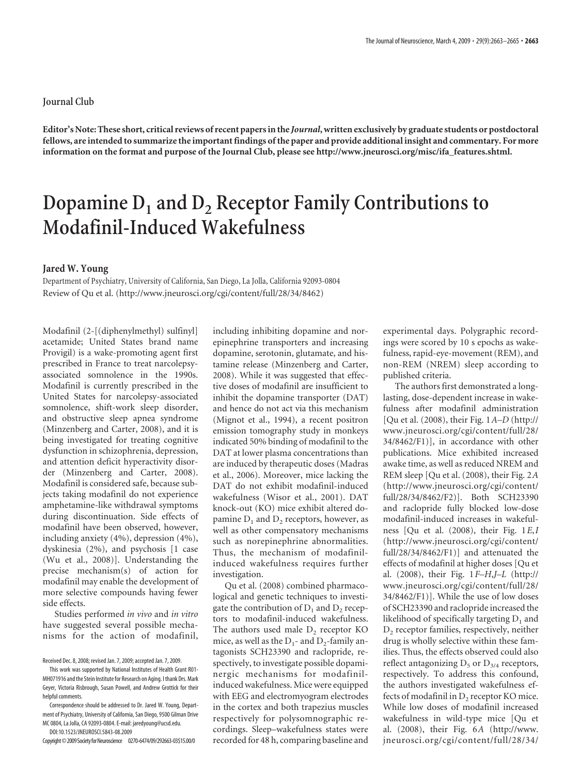## **Journal Club**

**Editor's Note: These short, critical reviews of recent papers in the** *Journal***, written exclusively by graduate students or postdoctoral fellows, are intended to summarize the important findings of the paper and provide additional insight and commentary. For more information on the format and purpose of the Journal Club, please see http://www.jneurosci.org/misc/ifa\_features.shtml.**

## Dopamine D<sub>1</sub> and D<sub>2</sub> Receptor Family Contributions to **Modafinil-Induced Wakefulness**

## **Jared W. Young**

Department of Psychiatry, University of California, San Diego, La Jolla, California 92093-0804 Review of Qu et al. (http://www.jneurosci.org/cgi/content/full/28/34/8462)

Modafinil (2-[(diphenylmethyl) sulfinyl] acetamide; United States brand name Provigil) is a wake-promoting agent first prescribed in France to treat narcolepsyassociated somnolence in the 1990s. Modafinil is currently prescribed in the United States for narcolepsy-associated somnolence, shift-work sleep disorder, and obstructive sleep apnea syndrome (Minzenberg and Carter, 2008), and it is being investigated for treating cognitive dysfunction in schizophrenia, depression, and attention deficit hyperactivity disorder (Minzenberg and Carter, 2008). Modafinil is considered safe, because subjects taking modafinil do not experience amphetamine-like withdrawal symptoms during discontinuation. Side effects of modafinil have been observed, however, including anxiety (4%), depression (4%), dyskinesia (2%), and psychosis [1 case (Wu et al., 2008)]. Understanding the precise mechanism(s) of action for modafinil may enable the development of more selective compounds having fewer side effects.

Studies performed *in vivo* and *in vitro* have suggested several possible mechanisms for the action of modafinil, including inhibiting dopamine and norepinephrine transporters and increasing dopamine, serotonin, glutamate, and histamine release (Minzenberg and Carter, 2008). While it was suggested that effective doses of modafinil are insufficient to inhibit the dopamine transporter (DAT) and hence do not act via this mechanism (Mignot et al., 1994), a recent positron emission tomography study in monkeys indicated 50% binding of modafinil to the DAT at lower plasma concentrations than are induced by therapeutic doses (Madras et al., 2006). Moreover, mice lacking the DAT do not exhibit modafinil-induced wakefulness (Wisor et al., 2001). DAT knock-out (KO) mice exhibit altered dopamine  $D_1$  and  $D_2$  receptors, however, as well as other compensatory mechanisms such as norepinephrine abnormalities. Thus, the mechanism of modafinilinduced wakefulness requires further investigation.

Qu et al. (2008) combined pharmacological and genetic techniques to investigate the contribution of  $D_1$  and  $D_2$  receptors to modafinil-induced wakefulness. The authors used male  $D<sub>2</sub>$  receptor KO mice, as well as the  $D_1$ - and  $D_2$ -family antagonists SCH23390 and raclopride, respectively, to investigate possible dopaminergic mechanisms for modafinilinduced wakefulness. Mice were equipped with EEG and electromyogram electrodes in the cortex and both trapezius muscles respectively for polysomnographic recordings. Sleep–wakefulness states were recorded for 48 h, comparing baseline and

experimental days. Polygraphic recordings were scored by 10 s epochs as wakefulness, rapid-eye-movement (REM), and non-REM (NREM) sleep according to published criteria.

The authors first demonstrated a longlasting, dose-dependent increase in wakefulness after modafinil administration [Qu et al. (2008), their Fig. 1*A–D* (http:// www.jneurosci.org/cgi/content/full/28/ 34/8462/F1)], in accordance with other publications. Mice exhibited increased awake time, as well as reduced NREM and REM sleep [Qu et al. (2008), their Fig. 2*A* (http://www.jneurosci.org/cgi/content/ full/28/34/8462/F2)]. Both SCH23390 and raclopride fully blocked low-dose modafinil-induced increases in wakefulness [Qu et al. (2008), their Fig. 1*E*,*I* (http://www.jneurosci.org/cgi/content/ full/28/34/8462/F1)] and attenuated the effects of modafinil at higher doses [Qu et al. (2008), their Fig. 1*F–H*,*J–L* (http:// www.jneurosci.org/cgi/content/full/28/ 34/8462/F1)]. While the use of low doses of SCH23390 and raclopride increased the likelihood of specifically targeting  $D_1$  and D<sub>2</sub> receptor families, respectively, neither drug is wholly selective within these families. Thus, the effects observed could also reflect antagonizing  $D_5$  or  $D_{3/4}$  receptors, respectively. To address this confound, the authors investigated wakefulness effects of modafinil in  $D<sub>2</sub>$  receptor KO mice. While low doses of modafinil increased wakefulness in wild-type mice [Qu et al. (2008), their Fig. 6*A* (http://www. jneurosci.org/cgi/content/full/28/34/

Received Dec. 8, 2008; revised Jan. 7, 2009; accepted Jan. 7, 2009.

This work was supported by National Institutes of Health Grant R01- MH071916 and the Stein Institute for Research on Aging. I thank Drs. Mark Geyer, Victoria Risbrough, Susan Powell, and Andrew Grottick for their helpful comments

Correspondence should be addressed to Dr. Jared W. Young, Department of Psychiatry, University of California, San Diego, 9500 Gilman Drive MC 0804, La Jolla, CA 92093-0804. E-mail: jaredyoung@ucsd.edu.

DOI:10.1523/JNEUROSCI.5843-08.2009 Copyright©2009SocietyforNeuroscience 0270-6474/09/292663-03\$15.00/0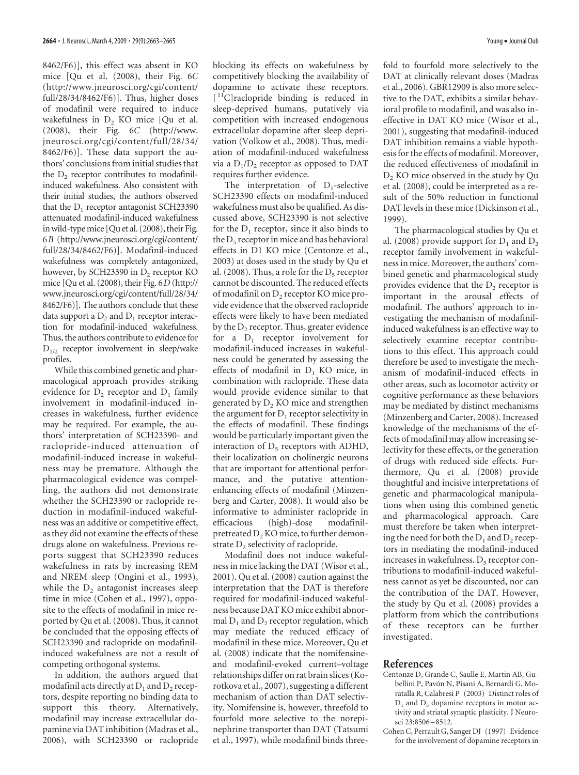8462/F6)], this effect was absent in KO mice [Qu et al. (2008), their Fig. 6*C* (http://www.jneurosci.org/cgi/content/ full/28/34/8462/F6)]. Thus, higher doses of modafinil were required to induce wakefulness in  $D<sub>2</sub>$  KO mice [Qu et al. (2008), their Fig. 6*C* (http://www. jneurosci.org/cgi/content/full/28/34/ 8462/F6)]. These data support the authors' conclusions from initial studies that the  $D<sub>2</sub>$  receptor contributes to modafinilinduced wakefulness. Also consistent with their initial studies, the authors observed that the  $D_1$  receptor antagonist SCH23390 attenuated modafinil-induced wakefulness inwild-typemice [Qu et al. (2008), their Fig. 6*B* (http://www.jneurosci.org/cgi/content/ full/28/34/8462/F6)]. Modafinil-induced wakefulness was completely antagonized, however, by SCH23390 in  $D_2$  receptor KO mice [Qu et al. (2008), their Fig. 6*D* (http:// www.jneurosci.org/cgi/content/full/28/34/ 8462/F6)]. The authors conclude that these data support a  $D_2$  and  $D_1$  receptor interaction for modafinil-induced wakefulness. Thus, the authors contribute to evidence for  $D_{1/2}$  receptor involvement in sleep/wake profiles.

While this combined genetic and pharmacological approach provides striking evidence for  $D_2$  receptor and  $D_1$  family involvement in modafinil-induced increases in wakefulness, further evidence may be required. For example, the authors' interpretation of SCH23390- and raclopride-induced attenuation of modafinil-induced increase in wakefulness may be premature. Although the pharmacological evidence was compelling, the authors did not demonstrate whether the SCH23390 or raclopride reduction in modafinil-induced wakefulness was an additive or competitive effect, as they did not examine the effects of these drugs alone on wakefulness. Previous reports suggest that SCH23390 reduces wakefulness in rats by increasing REM and NREM sleep (Ongini et al., 1993), while the  $D<sub>2</sub>$  antagonist increases sleep time in mice (Cohen et al., 1997), opposite to the effects of modafinil in mice reported by Qu et al. (2008). Thus, it cannot be concluded that the opposing effects of SCH23390 and raclopride on modafinilinduced wakefulness are not a result of competing orthogonal systems.

In addition, the authors argued that modafinil acts directly at  $D_1$  and  $D_2$  receptors, despite reporting no binding data to support this theory. Alternatively, modafinil may increase extracellular dopamine via DAT inhibition (Madras et al., 2006), with SCH23390 or raclopride blocking its effects on wakefulness by competitively blocking the availability of dopamine to activate these receptors.  $[$ <sup>11</sup>C]raclopride binding is reduced in sleep-deprived humans, putatively via competition with increased endogenous extracellular dopamine after sleep deprivation (Volkow et al., 2008). Thus, mediation of modafinil-induced wakefulness via a  $D_1/D_2$  receptor as opposed to DAT requires further evidence.

The interpretation of  $D_1$ -selective SCH23390 effects on modafinil-induced wakefulness must also be qualified. As discussed above, SCH23390 is not selective for the  $D_1$  receptor, since it also binds to the  $D<sub>5</sub>$  receptor in mice and has behavioral effects in D1 KO mice (Centonze et al., 2003) at doses used in the study by Qu et al. (2008). Thus, a role for the  $D_5$  receptor cannot be discounted. The reduced effects of modafinil on D<sub>2</sub> receptor KO mice provide evidence that the observed raclopride effects were likely to have been mediated by the  $D<sub>2</sub>$  receptor. Thus, greater evidence for a  $D_1$  receptor involvement for modafinil-induced increases in wakefulness could be generated by assessing the effects of modafinil in  $D_1$  KO mice, in combination with raclopride. These data would provide evidence similar to that generated by  $D<sub>2</sub>$  KO mice and strengthen the argument for  $D_1$  receptor selectivity in the effects of modafinil. These findings would be particularly important given the interaction of  $D_5$  receptors with ADHD, their localization on cholinergic neurons that are important for attentional performance, and the putative attentionenhancing effects of modafinil (Minzenberg and Carter, 2008). It would also be informative to administer raclopride in efficacious (high)-dose modafinilpretreated D<sub>2</sub>KO mice, to further demonstrate  $D<sub>2</sub>$  selectivity of raclopride.

Modafinil does not induce wakefulness in mice lacking the DAT (Wisor et al., 2001). Qu et al. (2008) caution against the interpretation that the DAT is therefore required for modafinil-induced wakefulness because DAT KO mice exhibit abnormal  $D_1$  and  $D_2$  receptor regulation, which may mediate the reduced efficacy of modafinil in these mice. Moreover, Qu et al. (2008) indicate that the nomifensineand modafinil-evoked current–voltage relationships differ on rat brain slices (Korotkova et al., 2007), suggesting a different mechanism of action than DAT selectivity. Nomifensine is, however, threefold to fourfold more selective to the norepinephrine transporter than DAT (Tatsumi et al., 1997), while modafinil binds three-

fold to fourfold more selectively to the DAT at clinically relevant doses (Madras et al., 2006). GBR12909 is also more selective to the DAT, exhibits a similar behavioral profile to modafinil, and was also ineffective in DAT KO mice (Wisor et al., 2001), suggesting that modafinil-induced DAT inhibition remains a viable hypothesis for the effects of modafinil. Moreover, the reduced effectiveness of modafinil in D<sub>2</sub> KO mice observed in the study by Qu et al. (2008), could be interpreted as a result of the 50% reduction in functional DAT levels in these mice (Dickinson et al., 1999).

The pharmacological studies by Qu et al. (2008) provide support for  $D_1$  and  $D_2$ receptor family involvement in wakefulness in mice. Moreover, the authors' combined genetic and pharmacological study provides evidence that the  $D<sub>2</sub>$  receptor is important in the arousal effects of modafinil. The authors' approach to investigating the mechanism of modafinilinduced wakefulness is an effective way to selectively examine receptor contributions to this effect. This approach could therefore be used to investigate the mechanism of modafinil-induced effects in other areas, such as locomotor activity or cognitive performance as these behaviors may be mediated by distinct mechanisms (Minzenberg and Carter, 2008). Increased knowledge of the mechanisms of the effects of modafinil may allow increasing selectivity for these effects, or the generation of drugs with reduced side effects. Furthermore, Qu et al. (2008) provide thoughtful and incisive interpretations of genetic and pharmacological manipulations when using this combined genetic and pharmacological approach. Care must therefore be taken when interpreting the need for both the  $D_1$  and  $D_2$  receptors in mediating the modafinil-induced increases in wakefulness.  $D_5$  receptor contributions to modafinil-induced wakefulness cannot as yet be discounted, nor can the contribution of the DAT. However, the study by Qu et al. (2008) provides a platform from which the contributions of these receptors can be further investigated.

## **References**

- Centonze D, Grande C, Saulle E, Martin AB, Gubellini P, Pavón N, Pisani A, Bernardi G, Moratalla R, Calabresi P (2003) Distinct roles of  $D_1$  and  $D_5$  dopamine receptors in motor activity and striatal synaptic plasticity. J Neurosci 23:8506 –8512.
- Cohen C, Perrault G, Sanger DJ (1997) Evidence for the involvement of dopamine receptors in